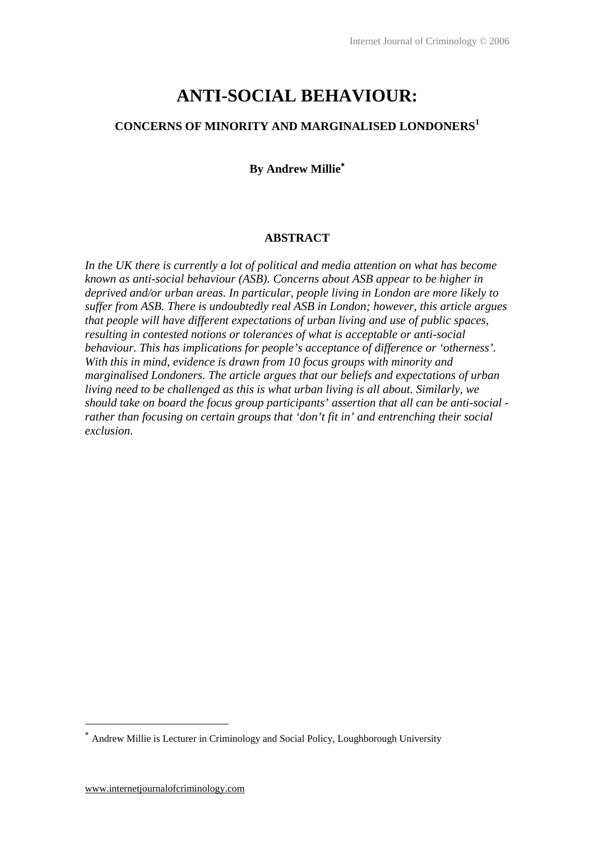# **ANTI-SOCIAL BEHAVIOUR:**

# **CONCERNS OF MINORITY AND MARGINALISED LONDONERS<sup>1</sup>**

# **By Andrew Millie**<sup>∗</sup>

#### **ABSTRACT**

*In the UK there is currently a lot of political and media attention on what has become known as anti-social behaviour (ASB). Concerns about ASB appear to be higher in deprived and/or urban areas. In particular, people living in London are more likely to suffer from ASB. There is undoubtedly real ASB in London; however, this article argues that people will have different expectations of urban living and use of public spaces, resulting in contested notions or tolerances of what is acceptable or anti-social behaviour. This has implications for people's acceptance of difference or 'otherness'. With this in mind, evidence is drawn from 10 focus groups with minority and marginalised Londoners. The article argues that our beliefs and expectations of urban living need to be challenged as this is what urban living is all about. Similarly, we should take on board the focus group participants' assertion that all can be anti-social rather than focusing on certain groups that 'don't fit in' and entrenching their social exclusion.* 

 $\overline{a}$ 

Andrew Millie is Lecturer in Criminology and Social Policy, Loughborough University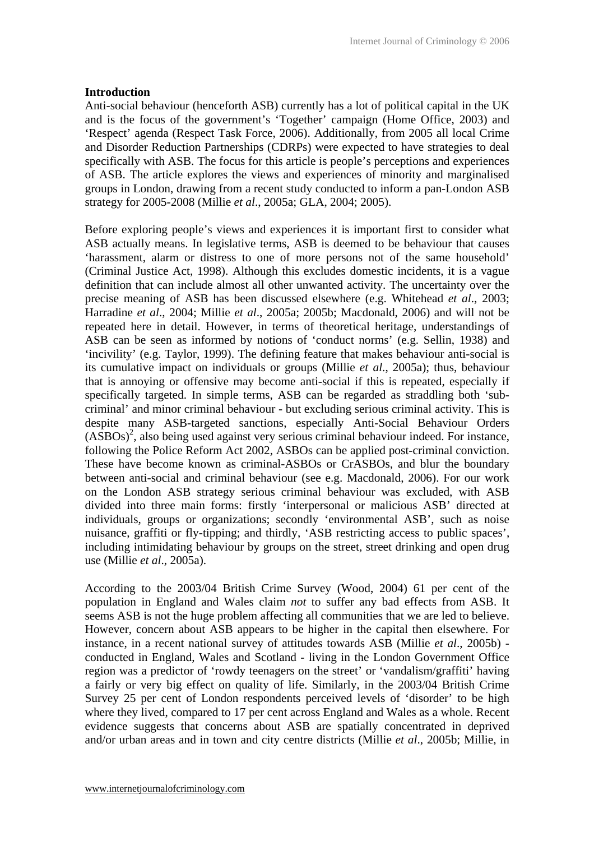## **Introduction**

Anti-social behaviour (henceforth ASB) currently has a lot of political capital in the UK and is the focus of the government's 'Together' campaign (Home Office, 2003) and 'Respect' agenda (Respect Task Force, 2006). Additionally, from 2005 all local Crime and Disorder Reduction Partnerships (CDRPs) were expected to have strategies to deal specifically with ASB. The focus for this article is people's perceptions and experiences of ASB. The article explores the views and experiences of minority and marginalised groups in London, drawing from a recent study conducted to inform a pan-London ASB strategy for 2005-2008 (Millie *et al*., 2005a; GLA, 2004; 2005).

Before exploring people's views and experiences it is important first to consider what ASB actually means. In legislative terms, ASB is deemed to be behaviour that causes 'harassment, alarm or distress to one of more persons not of the same household' (Criminal Justice Act, 1998). Although this excludes domestic incidents, it is a vague definition that can include almost all other unwanted activity. The uncertainty over the precise meaning of ASB has been discussed elsewhere (e.g. Whitehead *et al*., 2003; Harradine *et al*., 2004; Millie *et al*., 2005a; 2005b; Macdonald, 2006) and will not be repeated here in detail. However, in terms of theoretical heritage, understandings of ASB can be seen as informed by notions of 'conduct norms' (e.g. Sellin, 1938) and 'incivility' (e.g. Taylor, 1999). The defining feature that makes behaviour anti-social is its cumulative impact on individuals or groups (Millie *et al*., 2005a); thus, behaviour that is annoying or offensive may become anti-social if this is repeated, especially if specifically targeted. In simple terms, ASB can be regarded as straddling both 'subcriminal' and minor criminal behaviour - but excluding serious criminal activity. This is despite many ASB-targeted sanctions, especially Anti-Social Behaviour Orders  $(ASBOs)<sup>2</sup>$ , also being used against very serious criminal behaviour indeed. For instance, following the Police Reform Act 2002, ASBOs can be applied post-criminal conviction. These have become known as criminal-ASBOs or CrASBOs, and blur the boundary between anti-social and criminal behaviour (see e.g. Macdonald, 2006). For our work on the London ASB strategy serious criminal behaviour was excluded, with ASB divided into three main forms: firstly 'interpersonal or malicious ASB' directed at individuals, groups or organizations; secondly 'environmental ASB', such as noise nuisance, graffiti or fly-tipping; and thirdly, 'ASB restricting access to public spaces', including intimidating behaviour by groups on the street, street drinking and open drug use (Millie *et al*., 2005a).

According to the 2003/04 British Crime Survey (Wood, 2004) 61 per cent of the population in England and Wales claim *not* to suffer any bad effects from ASB. It seems ASB is not the huge problem affecting all communities that we are led to believe. However, concern about ASB appears to be higher in the capital then elsewhere. For instance, in a recent national survey of attitudes towards ASB (Millie *et al*., 2005b) conducted in England, Wales and Scotland - living in the London Government Office region was a predictor of 'rowdy teenagers on the street' or 'vandalism/graffiti' having a fairly or very big effect on quality of life. Similarly, in the 2003/04 British Crime Survey 25 per cent of London respondents perceived levels of 'disorder' to be high where they lived, compared to 17 per cent across England and Wales as a whole. Recent evidence suggests that concerns about ASB are spatially concentrated in deprived and/or urban areas and in town and city centre districts (Millie *et al*., 2005b; Millie, in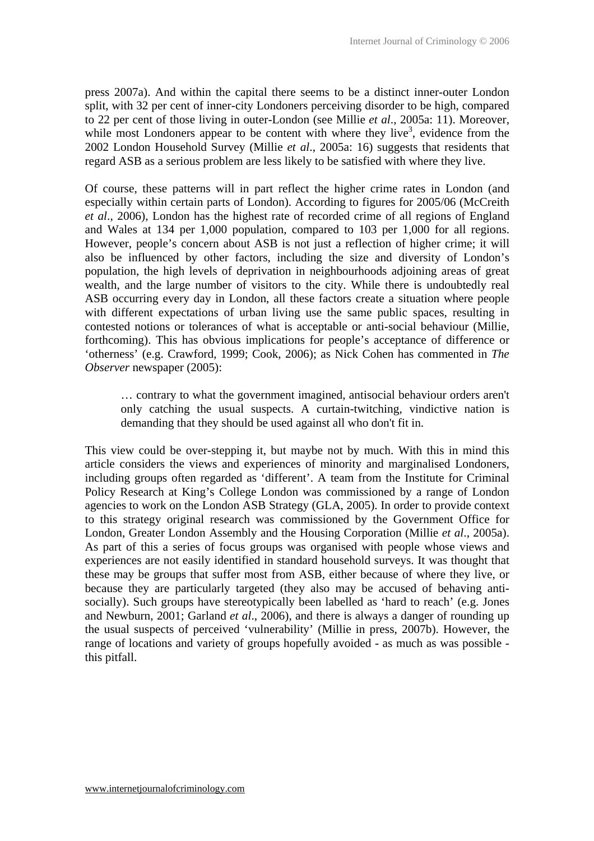press 2007a). And within the capital there seems to be a distinct inner-outer London split, with 32 per cent of inner-city Londoners perceiving disorder to be high, compared to 22 per cent of those living in outer-London (see Millie *et al*., 2005a: 11). Moreover, while most Londoners appear to be content with where they live<sup>3</sup>, evidence from the 2002 London Household Survey (Millie *et al*., 2005a: 16) suggests that residents that regard ASB as a serious problem are less likely to be satisfied with where they live.

Of course, these patterns will in part reflect the higher crime rates in London (and especially within certain parts of London). According to figures for 2005/06 (McCreith *et al*., 2006), London has the highest rate of recorded crime of all regions of England and Wales at 134 per 1,000 population, compared to 103 per 1,000 for all regions. However, people's concern about ASB is not just a reflection of higher crime; it will also be influenced by other factors, including the size and diversity of London's population, the high levels of deprivation in neighbourhoods adjoining areas of great wealth, and the large number of visitors to the city. While there is undoubtedly real ASB occurring every day in London, all these factors create a situation where people with different expectations of urban living use the same public spaces, resulting in contested notions or tolerances of what is acceptable or anti-social behaviour (Millie, forthcoming). This has obvious implications for people's acceptance of difference or 'otherness' (e.g. Crawford, 1999; Cook, 2006); as Nick Cohen has commented in *The Observer* newspaper (2005):

… contrary to what the government imagined, antisocial behaviour orders aren't only catching the usual suspects. A curtain-twitching, vindictive nation is demanding that they should be used against all who don't fit in.

This view could be over-stepping it, but maybe not by much. With this in mind this article considers the views and experiences of minority and marginalised Londoners, including groups often regarded as 'different'. A team from the Institute for Criminal Policy Research at King's College London was commissioned by a range of London agencies to work on the London ASB Strategy (GLA, 2005). In order to provide context to this strategy original research was commissioned by the Government Office for London, Greater London Assembly and the Housing Corporation (Millie *et al*., 2005a). As part of this a series of focus groups was organised with people whose views and experiences are not easily identified in standard household surveys. It was thought that these may be groups that suffer most from ASB, either because of where they live, or because they are particularly targeted (they also may be accused of behaving antisocially). Such groups have stereotypically been labelled as 'hard to reach' (e.g. Jones and Newburn, 2001; Garland *et al*., 2006), and there is always a danger of rounding up the usual suspects of perceived 'vulnerability' (Millie in press, 2007b). However, the range of locations and variety of groups hopefully avoided - as much as was possible this pitfall.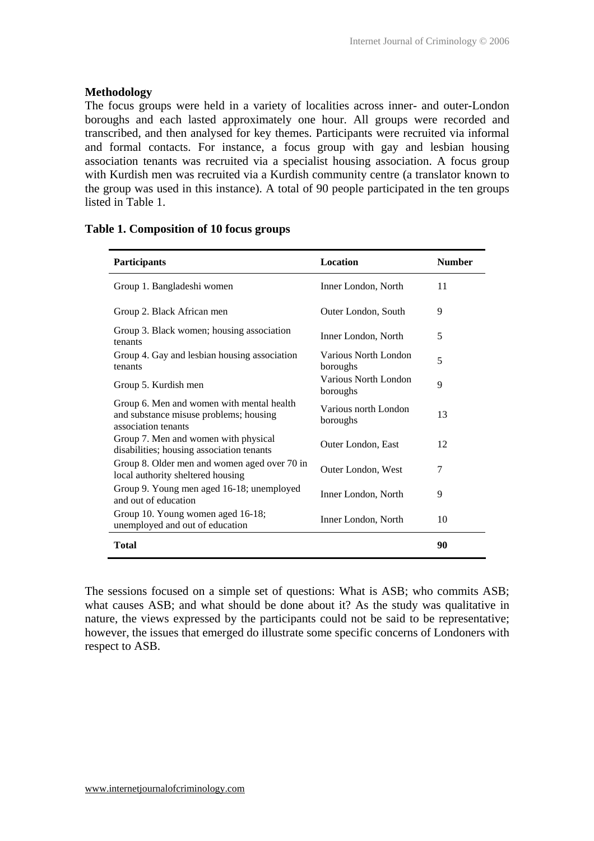## **Methodology**

The focus groups were held in a variety of localities across inner- and outer-London boroughs and each lasted approximately one hour. All groups were recorded and transcribed, and then analysed for key themes. Participants were recruited via informal and formal contacts. For instance, a focus group with gay and lesbian housing association tenants was recruited via a specialist housing association. A focus group with Kurdish men was recruited via a Kurdish community centre (a translator known to the group was used in this instance). A total of 90 people participated in the ten groups listed in Table 1.

| Participants                                                                                               | <b>Location</b>                  | <b>Number</b> |
|------------------------------------------------------------------------------------------------------------|----------------------------------|---------------|
| Group 1. Bangladeshi women                                                                                 | Inner London, North              | 11            |
| Group 2. Black African men                                                                                 | Outer London, South              | 9             |
| Group 3. Black women; housing association<br>tenants                                                       | Inner London, North              | 5             |
| Group 4. Gay and lesbian housing association<br>tenants                                                    | Various North London<br>boroughs | 5             |
| Group 5. Kurdish men                                                                                       | Various North London<br>boroughs | 9             |
| Group 6. Men and women with mental health<br>and substance misuse problems; housing<br>association tenants | Various north London<br>boroughs | 13            |
| Group 7. Men and women with physical<br>disabilities; housing association tenants                          | Outer London, East               | 12            |
| Group 8. Older men and women aged over 70 in<br>local authority sheltered housing                          | Outer London, West               | 7             |
| Group 9. Young men aged 16-18; unemployed<br>and out of education                                          | Inner London, North              | 9             |
| Group 10. Young women aged 16-18;<br>unemployed and out of education                                       | Inner London, North              | 10            |
| <b>Total</b>                                                                                               |                                  | 90            |

The sessions focused on a simple set of questions: What is ASB; who commits ASB; what causes ASB; and what should be done about it? As the study was qualitative in nature, the views expressed by the participants could not be said to be representative; however, the issues that emerged do illustrate some specific concerns of Londoners with respect to ASB.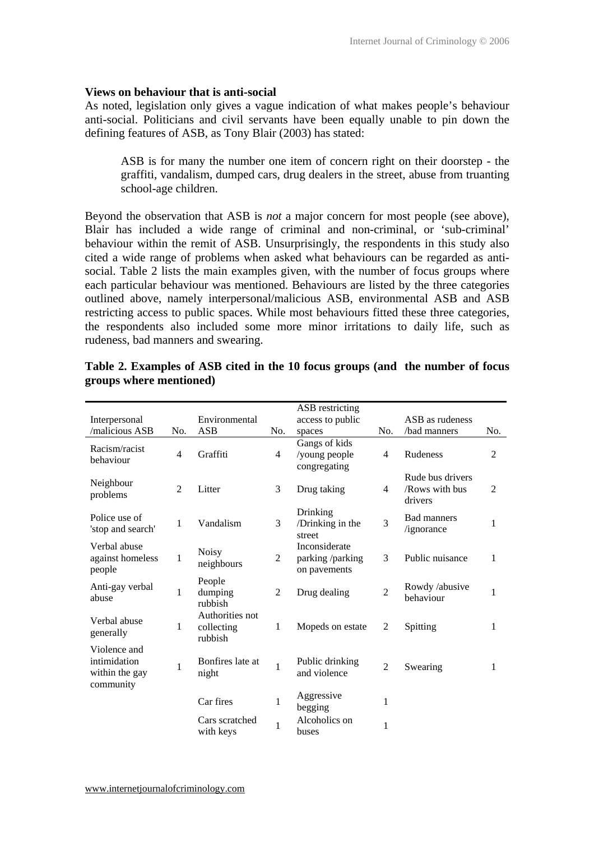#### **Views on behaviour that is anti-social**

As noted, legislation only gives a vague indication of what makes people's behaviour anti-social. Politicians and civil servants have been equally unable to pin down the defining features of ASB, as Tony Blair (2003) has stated:

ASB is for many the number one item of concern right on their doorstep - the graffiti, vandalism, dumped cars, drug dealers in the street, abuse from truanting school-age children.

Beyond the observation that ASB is *not* a major concern for most people (see above), Blair has included a wide range of criminal and non-criminal, or 'sub-criminal' behaviour within the remit of ASB. Unsurprisingly, the respondents in this study also cited a wide range of problems when asked what behaviours can be regarded as antisocial. Table 2 lists the main examples given, with the number of focus groups where each particular behaviour was mentioned. Behaviours are listed by the three categories outlined above, namely interpersonal/malicious ASB, environmental ASB and ASB restricting access to public spaces. While most behaviours fitted these three categories, the respondents also included some more minor irritations to daily life, such as rudeness, bad manners and swearing.

| Interpersonal<br>/malicious ASB                             | No.            | Environmental<br><b>ASB</b>              | No.            | ASB restricting<br>access to public<br>spaces     | No.            | ASB as rudeness<br>bad manners                | No. |
|-------------------------------------------------------------|----------------|------------------------------------------|----------------|---------------------------------------------------|----------------|-----------------------------------------------|-----|
| Racism/racist<br>behaviour                                  | $\overline{4}$ | Graffiti                                 | $\overline{4}$ | Gangs of kids<br>/young people<br>congregating    | $\overline{4}$ | Rudeness                                      | 2   |
| Neighbour<br>problems                                       | $\overline{2}$ | Litter                                   | 3              | Drug taking                                       | $\overline{4}$ | Rude bus drivers<br>/Rows with bus<br>drivers | 2   |
| Police use of<br>'stop and search'                          | 1              | Vandalism                                | 3              | Drinking<br>/Drinking in the<br>street            | 3              | <b>Bad manners</b><br>/ignorance              | 1   |
| Verbal abuse<br>against homeless<br>people                  | 1              | <b>Noisy</b><br>neighbours               | 2              | Inconsiderate<br>parking /parking<br>on pavements | 3              | Public nuisance                               | 1   |
| Anti-gay verbal<br>abuse                                    | 1              | People<br>dumping<br>rubbish             | $\overline{2}$ | Drug dealing                                      | $\overline{2}$ | Rowdy /abusive<br>behaviour                   | 1   |
| Verbal abuse<br>generally                                   | 1              | Authorities not<br>collecting<br>rubbish | $\mathbf{1}$   | Mopeds on estate                                  | 2              | Spitting                                      | 1   |
| Violence and<br>intimidation<br>within the gay<br>community | 1              | Bonfires late at<br>night                | $\mathbf{1}$   | Public drinking<br>and violence                   | $\overline{2}$ | Swearing                                      | 1   |
|                                                             |                | Car fires                                | 1              | Aggressive<br>begging                             | 1              |                                               |     |
|                                                             |                | Cars scratched<br>with keys              | $\mathbf{1}$   | Alcoholics on<br>buses                            | $\mathbf{1}$   |                                               |     |

**Table 2. Examples of ASB cited in the 10 focus groups (and the number of focus groups where mentioned)**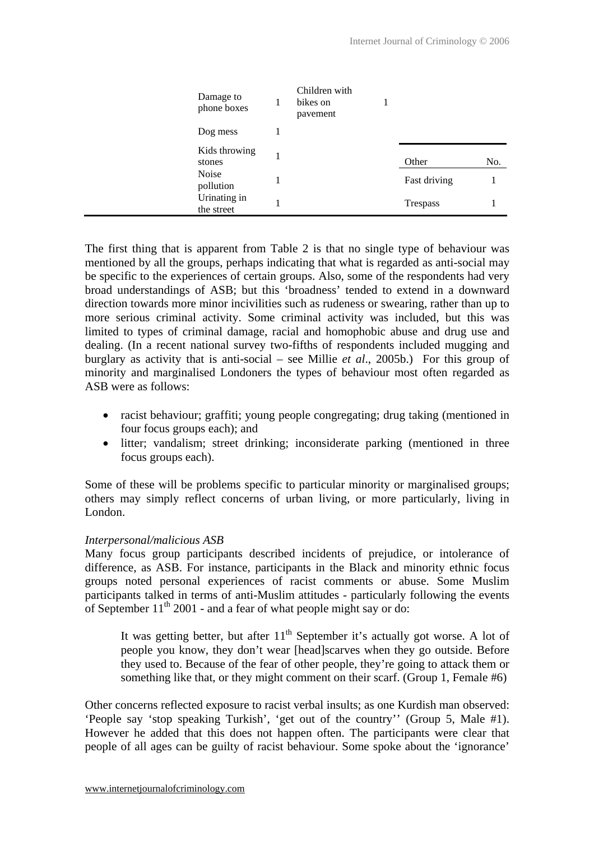| Damage to<br>phone boxes   | Children with<br>bikes on<br>pavement |              |     |
|----------------------------|---------------------------------------|--------------|-----|
| Dog mess                   |                                       |              |     |
| Kids throwing<br>stones    |                                       | Other        | No. |
| Noise<br>pollution         |                                       | Fast driving |     |
| Urinating in<br>the street |                                       | Trespass     |     |

The first thing that is apparent from Table 2 is that no single type of behaviour was mentioned by all the groups, perhaps indicating that what is regarded as anti-social may be specific to the experiences of certain groups. Also, some of the respondents had very broad understandings of ASB; but this 'broadness' tended to extend in a downward direction towards more minor incivilities such as rudeness or swearing, rather than up to more serious criminal activity. Some criminal activity was included, but this was limited to types of criminal damage, racial and homophobic abuse and drug use and dealing. (In a recent national survey two-fifths of respondents included mugging and burglary as activity that is anti-social – see Millie *et al*., 2005b.) For this group of minority and marginalised Londoners the types of behaviour most often regarded as ASB were as follows:

- racist behaviour; graffiti; young people congregating; drug taking (mentioned in four focus groups each); and
- litter; vandalism; street drinking; inconsiderate parking (mentioned in three focus groups each).

Some of these will be problems specific to particular minority or marginalised groups; others may simply reflect concerns of urban living, or more particularly, living in London.

## *Interpersonal/malicious ASB*

Many focus group participants described incidents of prejudice, or intolerance of difference, as ASB. For instance, participants in the Black and minority ethnic focus groups noted personal experiences of racist comments or abuse. Some Muslim participants talked in terms of anti-Muslim attitudes - particularly following the events of September  $11<sup>th</sup>$  2001 - and a fear of what people might say or do:

It was getting better, but after  $11<sup>th</sup>$  September it's actually got worse. A lot of people you know, they don't wear [head]scarves when they go outside. Before they used to. Because of the fear of other people, they're going to attack them or something like that, or they might comment on their scarf. (Group 1, Female #6)

Other concerns reflected exposure to racist verbal insults; as one Kurdish man observed: 'People say 'stop speaking Turkish', 'get out of the country'' (Group 5, Male #1). However he added that this does not happen often. The participants were clear that people of all ages can be guilty of racist behaviour. Some spoke about the 'ignorance'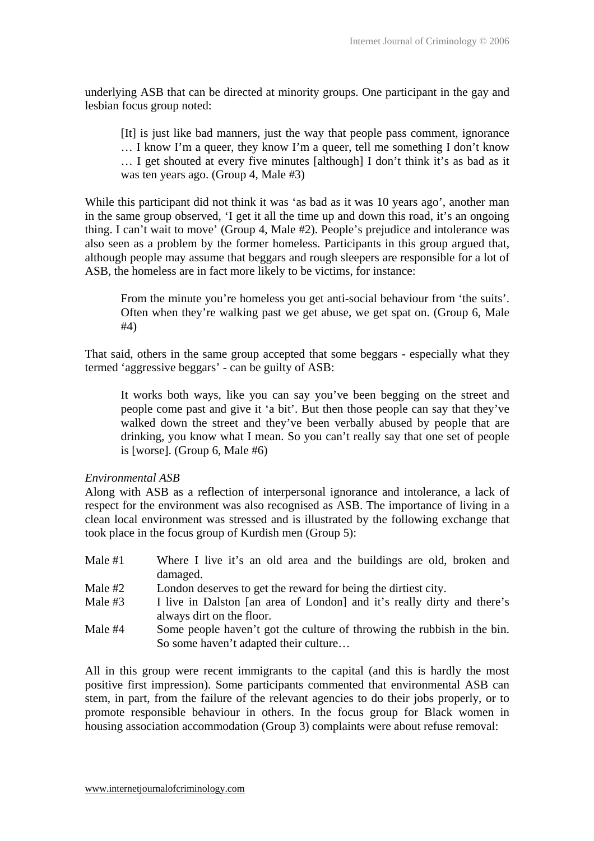underlying ASB that can be directed at minority groups. One participant in the gay and lesbian focus group noted:

[It] is just like bad manners, just the way that people pass comment, ignorance … I know I'm a queer, they know I'm a queer, tell me something I don't know … I get shouted at every five minutes [although] I don't think it's as bad as it was ten years ago. (Group 4, Male #3)

While this participant did not think it was 'as bad as it was 10 years ago', another man in the same group observed, 'I get it all the time up and down this road, it's an ongoing thing. I can't wait to move' (Group 4, Male #2). People's prejudice and intolerance was also seen as a problem by the former homeless. Participants in this group argued that, although people may assume that beggars and rough sleepers are responsible for a lot of ASB, the homeless are in fact more likely to be victims, for instance:

From the minute you're homeless you get anti-social behaviour from 'the suits'. Often when they're walking past we get abuse, we get spat on. (Group 6, Male #4)

That said, others in the same group accepted that some beggars - especially what they termed 'aggressive beggars' - can be guilty of ASB:

It works both ways, like you can say you've been begging on the street and people come past and give it 'a bit'. But then those people can say that they've walked down the street and they've been verbally abused by people that are drinking, you know what I mean. So you can't really say that one set of people is [worse]. (Group 6, Male #6)

*Environmental ASB* 

Along with ASB as a reflection of interpersonal ignorance and intolerance, a lack of respect for the environment was also recognised as ASB. The importance of living in a clean local environment was stressed and is illustrated by the following exchange that took place in the focus group of Kurdish men (Group 5):

- Male #1 Where I live it's an old area and the buildings are old, broken and damaged.
- Male  $#2$  London deserves to get the reward for being the dirtiest city.
- Male #3 I live in Dalston [an area of London] and it's really dirty and there's always dirt on the floor.
- Male #4 Some people haven't got the culture of throwing the rubbish in the bin. So some haven't adapted their culture…

All in this group were recent immigrants to the capital (and this is hardly the most positive first impression). Some participants commented that environmental ASB can stem, in part, from the failure of the relevant agencies to do their jobs properly, or to promote responsible behaviour in others. In the focus group for Black women in housing association accommodation (Group 3) complaints were about refuse removal: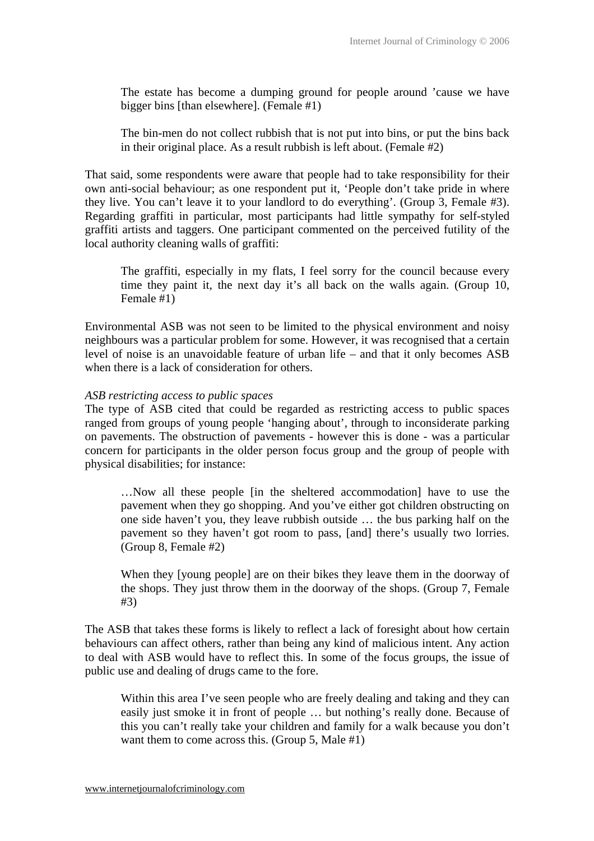The estate has become a dumping ground for people around 'cause we have bigger bins [than elsewhere]. (Female #1)

The bin-men do not collect rubbish that is not put into bins, or put the bins back in their original place. As a result rubbish is left about. (Female #2)

That said, some respondents were aware that people had to take responsibility for their own anti-social behaviour; as one respondent put it, 'People don't take pride in where they live. You can't leave it to your landlord to do everything'. (Group 3, Female #3). Regarding graffiti in particular, most participants had little sympathy for self-styled graffiti artists and taggers. One participant commented on the perceived futility of the local authority cleaning walls of graffiti:

The graffiti, especially in my flats, I feel sorry for the council because every time they paint it, the next day it's all back on the walls again. (Group 10, Female #1)

Environmental ASB was not seen to be limited to the physical environment and noisy neighbours was a particular problem for some. However, it was recognised that a certain level of noise is an unavoidable feature of urban life – and that it only becomes ASB when there is a lack of consideration for others.

#### *ASB restricting access to public spaces*

The type of ASB cited that could be regarded as restricting access to public spaces ranged from groups of young people 'hanging about', through to inconsiderate parking on pavements. The obstruction of pavements - however this is done - was a particular concern for participants in the older person focus group and the group of people with physical disabilities; for instance:

…Now all these people [in the sheltered accommodation] have to use the pavement when they go shopping. And you've either got children obstructing on one side haven't you, they leave rubbish outside … the bus parking half on the pavement so they haven't got room to pass, [and] there's usually two lorries. (Group 8, Female #2)

When they [young people] are on their bikes they leave them in the doorway of the shops. They just throw them in the doorway of the shops. (Group 7, Female #3)

The ASB that takes these forms is likely to reflect a lack of foresight about how certain behaviours can affect others, rather than being any kind of malicious intent. Any action to deal with ASB would have to reflect this. In some of the focus groups, the issue of public use and dealing of drugs came to the fore.

Within this area I've seen people who are freely dealing and taking and they can easily just smoke it in front of people … but nothing's really done. Because of this you can't really take your children and family for a walk because you don't want them to come across this. (Group 5, Male #1)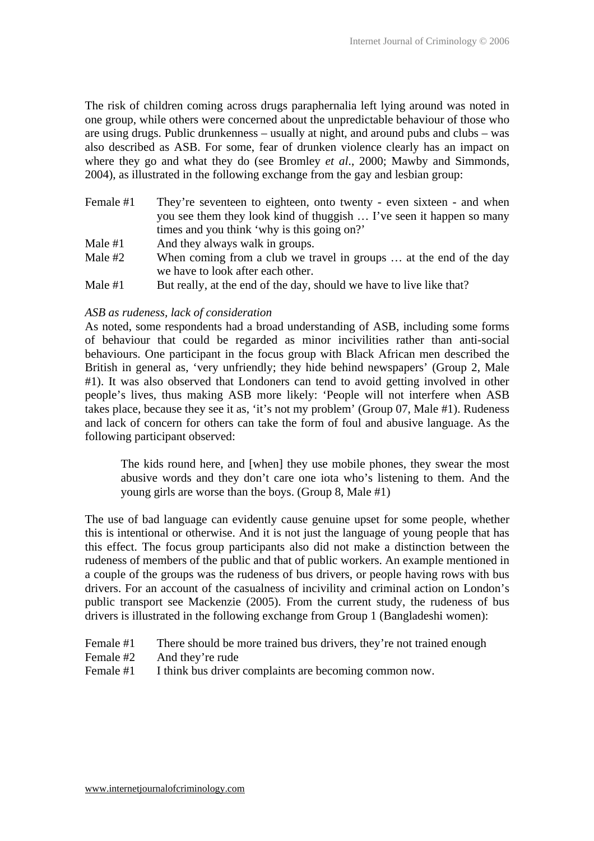The risk of children coming across drugs paraphernalia left lying around was noted in one group, while others were concerned about the unpredictable behaviour of those who are using drugs. Public drunkenness – usually at night, and around pubs and clubs – was also described as ASB. For some, fear of drunken violence clearly has an impact on where they go and what they do (see Bromley *et al*., 2000; Mawby and Simmonds, 2004), as illustrated in the following exchange from the gay and lesbian group:

| Female #1 | They're seventeen to eighteen, onto twenty - even sixteen - and when |
|-----------|----------------------------------------------------------------------|
|           | you see them they look kind of thuggish  I've seen it happen so many |
|           | times and you think 'why is this going on?'                          |
| Male $#1$ | And they always walk in groups.                                      |

- Male  $#2$  When coming from a club we travel in groups ... at the end of the day we have to look after each other.
- Male  $#1$  But really, at the end of the day, should we have to live like that?

## *ASB as rudeness, lack of consideration*

As noted, some respondents had a broad understanding of ASB, including some forms of behaviour that could be regarded as minor incivilities rather than anti-social behaviours. One participant in the focus group with Black African men described the British in general as, 'very unfriendly; they hide behind newspapers' (Group 2, Male #1). It was also observed that Londoners can tend to avoid getting involved in other people's lives, thus making ASB more likely: 'People will not interfere when ASB takes place, because they see it as, 'it's not my problem' (Group 07, Male #1). Rudeness and lack of concern for others can take the form of foul and abusive language. As the following participant observed:

The kids round here, and [when] they use mobile phones, they swear the most abusive words and they don't care one iota who's listening to them. And the young girls are worse than the boys. (Group 8, Male #1)

The use of bad language can evidently cause genuine upset for some people, whether this is intentional or otherwise. And it is not just the language of young people that has this effect. The focus group participants also did not make a distinction between the rudeness of members of the public and that of public workers. An example mentioned in a couple of the groups was the rudeness of bus drivers, or people having rows with bus drivers. For an account of the casualness of incivility and criminal action on London's public transport see Mackenzie (2005). From the current study, the rudeness of bus drivers is illustrated in the following exchange from Group 1 (Bangladeshi women):

- Female #1 There should be more trained bus drivers, they're not trained enough
- Female #2 And they're rude
- Female #1 I think bus driver complaints are becoming common now.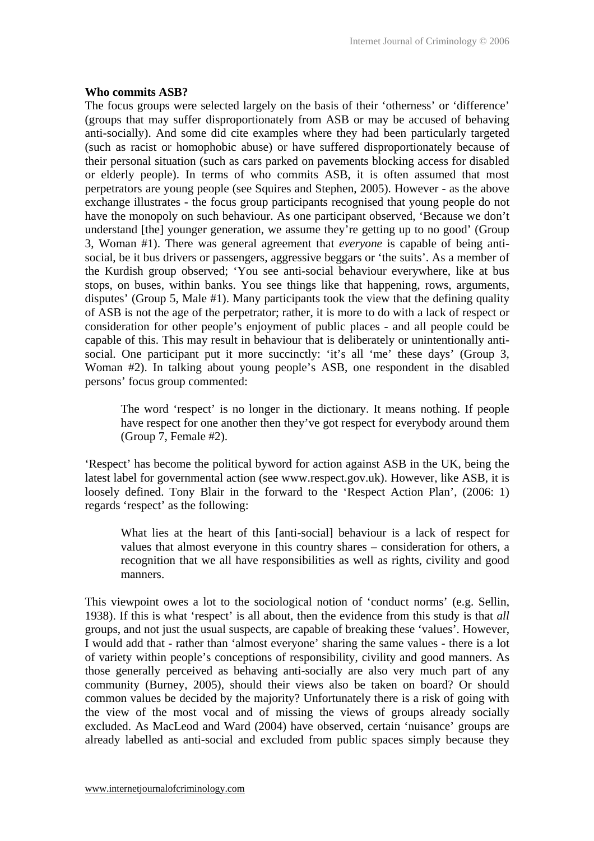#### **Who commits ASB?**

The focus groups were selected largely on the basis of their 'otherness' or 'difference' (groups that may suffer disproportionately from ASB or may be accused of behaving anti-socially). And some did cite examples where they had been particularly targeted (such as racist or homophobic abuse) or have suffered disproportionately because of their personal situation (such as cars parked on pavements blocking access for disabled or elderly people). In terms of who commits ASB, it is often assumed that most perpetrators are young people (see Squires and Stephen, 2005). However - as the above exchange illustrates - the focus group participants recognised that young people do not have the monopoly on such behaviour. As one participant observed, 'Because we don't understand [the] younger generation, we assume they're getting up to no good' (Group 3, Woman #1). There was general agreement that *everyone* is capable of being antisocial, be it bus drivers or passengers, aggressive beggars or 'the suits'. As a member of the Kurdish group observed; 'You see anti-social behaviour everywhere, like at bus stops, on buses, within banks. You see things like that happening, rows, arguments, disputes' (Group 5, Male #1). Many participants took the view that the defining quality of ASB is not the age of the perpetrator; rather, it is more to do with a lack of respect or consideration for other people's enjoyment of public places - and all people could be capable of this. This may result in behaviour that is deliberately or unintentionally antisocial. One participant put it more succinctly: 'it's all 'me' these days' (Group 3, Woman #2). In talking about young people's ASB, one respondent in the disabled persons' focus group commented:

The word 'respect' is no longer in the dictionary. It means nothing. If people have respect for one another then they've got respect for everybody around them (Group 7, Female #2).

'Respect' has become the political byword for action against ASB in the UK, being the latest label for governmental action (see www.respect.gov.uk). However, like ASB, it is loosely defined. Tony Blair in the forward to the 'Respect Action Plan', (2006: 1) regards 'respect' as the following:

What lies at the heart of this [anti-social] behaviour is a lack of respect for values that almost everyone in this country shares – consideration for others, a recognition that we all have responsibilities as well as rights, civility and good manners.

This viewpoint owes a lot to the sociological notion of 'conduct norms' (e.g. Sellin, 1938). If this is what 'respect' is all about, then the evidence from this study is that *all* groups, and not just the usual suspects, are capable of breaking these 'values'. However, I would add that - rather than 'almost everyone' sharing the same values - there is a lot of variety within people's conceptions of responsibility, civility and good manners. As those generally perceived as behaving anti-socially are also very much part of any community (Burney, 2005), should their views also be taken on board? Or should common values be decided by the majority? Unfortunately there is a risk of going with the view of the most vocal and of missing the views of groups already socially excluded. As MacLeod and Ward (2004) have observed, certain 'nuisance' groups are already labelled as anti-social and excluded from public spaces simply because they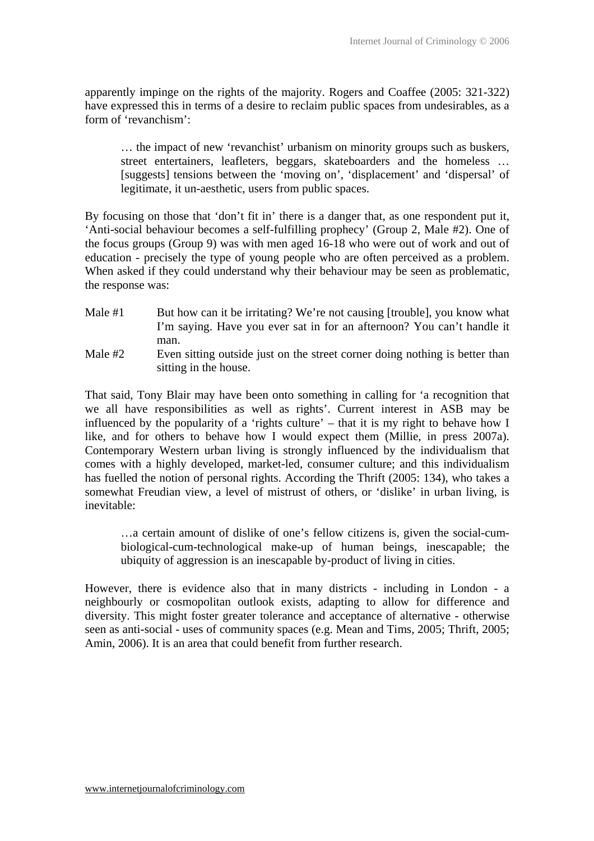apparently impinge on the rights of the majority. Rogers and Coaffee (2005: 321-322) have expressed this in terms of a desire to reclaim public spaces from undesirables, as a form of 'revanchism':

… the impact of new 'revanchist' urbanism on minority groups such as buskers, street entertainers, leafleters, beggars, skateboarders and the homeless … [suggests] tensions between the 'moving on', 'displacement' and 'dispersal' of legitimate, it un-aesthetic, users from public spaces.

By focusing on those that 'don't fit in' there is a danger that, as one respondent put it, 'Anti-social behaviour becomes a self-fulfilling prophecy' (Group 2, Male #2). One of the focus groups (Group 9) was with men aged 16-18 who were out of work and out of education - precisely the type of young people who are often perceived as a problem. When asked if they could understand why their behaviour may be seen as problematic. the response was:

- Male  $#1$  But how can it be irritating? We're not causing [trouble], you know what I'm saying. Have you ever sat in for an afternoon? You can't handle it man.
- Male #2 Even sitting outside just on the street corner doing nothing is better than sitting in the house.

That said, Tony Blair may have been onto something in calling for 'a recognition that we all have responsibilities as well as rights'. Current interest in ASB may be influenced by the popularity of a 'rights culture' – that it is my right to behave how I like, and for others to behave how I would expect them (Millie, in press 2007a). Contemporary Western urban living is strongly influenced by the individualism that comes with a highly developed, market-led, consumer culture; and this individualism has fuelled the notion of personal rights. According the Thrift (2005: 134), who takes a somewhat Freudian view, a level of mistrust of others, or 'dislike' in urban living, is inevitable:

…a certain amount of dislike of one's fellow citizens is, given the social-cumbiological-cum-technological make-up of human beings, inescapable; the ubiquity of aggression is an inescapable by-product of living in cities.

However, there is evidence also that in many districts - including in London - a neighbourly or cosmopolitan outlook exists, adapting to allow for difference and diversity. This might foster greater tolerance and acceptance of alternative - otherwise seen as anti-social - uses of community spaces (e.g. Mean and Tims, 2005; Thrift, 2005; Amin, 2006). It is an area that could benefit from further research.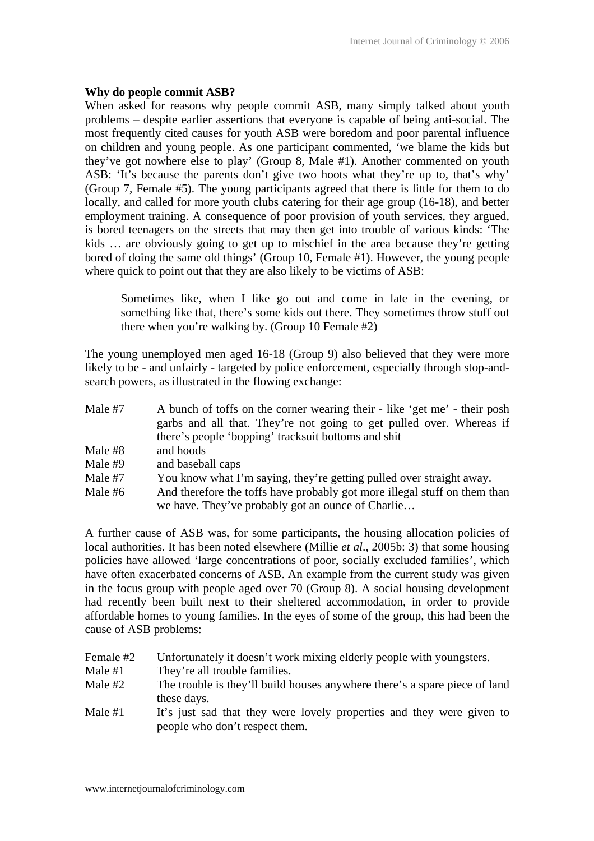# **Why do people commit ASB?**

When asked for reasons why people commit ASB, many simply talked about youth problems – despite earlier assertions that everyone is capable of being anti-social. The most frequently cited causes for youth ASB were boredom and poor parental influence on children and young people. As one participant commented, 'we blame the kids but they've got nowhere else to play' (Group 8, Male #1). Another commented on youth ASB: 'It's because the parents don't give two hoots what they're up to, that's why' (Group 7, Female #5). The young participants agreed that there is little for them to do locally, and called for more youth clubs catering for their age group (16-18), and better employment training. A consequence of poor provision of youth services, they argued, is bored teenagers on the streets that may then get into trouble of various kinds: 'The kids … are obviously going to get up to mischief in the area because they're getting bored of doing the same old things' (Group 10, Female #1). However, the young people where quick to point out that they are also likely to be victims of ASB:

Sometimes like, when I like go out and come in late in the evening, or something like that, there's some kids out there. They sometimes throw stuff out there when you're walking by. (Group 10 Female #2)

The young unemployed men aged 16-18 (Group 9) also believed that they were more likely to be - and unfairly - targeted by police enforcement, especially through stop-andsearch powers, as illustrated in the flowing exchange:

| Male #7   | A bunch of toffs on the corner wearing their - like 'get me' - their posh |
|-----------|---------------------------------------------------------------------------|
|           | garbs and all that. They're not going to get pulled over. Whereas if      |
|           | there's people 'bopping' tracksuit bottoms and shit                       |
| Male #8   | and hoods                                                                 |
| Male $#9$ | and baseball caps                                                         |
| Male #7   | You know what I'm saying, they're getting pulled over straight away.      |
| Male #6   | And therefore the toffs have probably got more illegal stuff on them than |
|           | we have. They've probably got an ounce of Charlie                         |

A further cause of ASB was, for some participants, the housing allocation policies of local authorities. It has been noted elsewhere (Millie *et al*., 2005b: 3) that some housing policies have allowed 'large concentrations of poor, socially excluded families', which have often exacerbated concerns of ASB. An example from the current study was given in the focus group with people aged over 70 (Group 8). A social housing development had recently been built next to their sheltered accommodation, in order to provide affordable homes to young families. In the eyes of some of the group, this had been the cause of ASB problems:

Female #2 Unfortunately it doesn't work mixing elderly people with youngsters. Male #1 They're all trouble families. Male #2 The trouble is they'll build houses anywhere there's a spare piece of land these days. Male #1 It's just sad that they were lovely properties and they were given to people who don't respect them.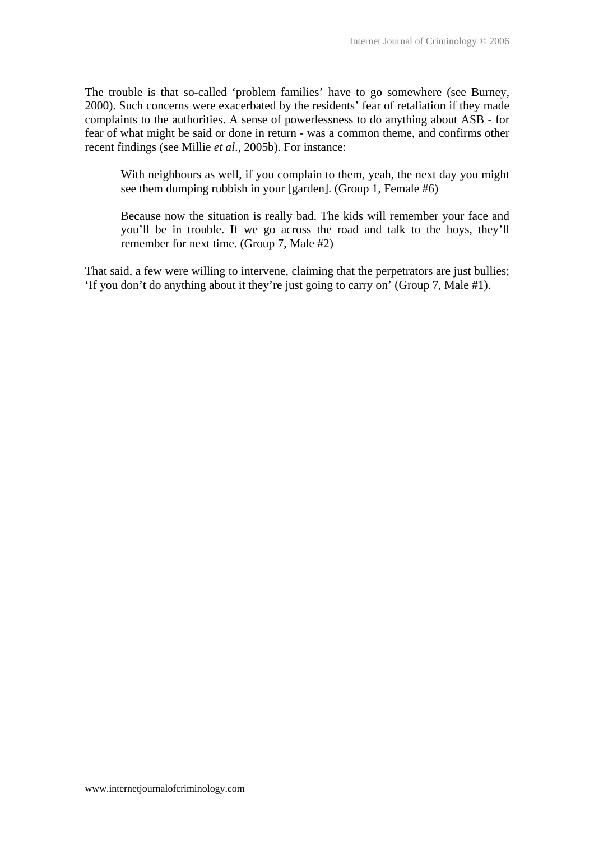The trouble is that so-called 'problem families' have to go somewhere (see Burney, 2000). Such concerns were exacerbated by the residents' fear of retaliation if they made complaints to the authorities. A sense of powerlessness to do anything about ASB - for fear of what might be said or done in return - was a common theme, and confirms other recent findings (see Millie *et al*., 2005b). For instance:

With neighbours as well, if you complain to them, yeah, the next day you might see them dumping rubbish in your [garden]. (Group 1, Female #6)

Because now the situation is really bad. The kids will remember your face and you'll be in trouble. If we go across the road and talk to the boys, they'll remember for next time. (Group 7, Male #2)

That said, a few were willing to intervene, claiming that the perpetrators are just bullies; 'If you don't do anything about it they're just going to carry on' (Group 7, Male #1).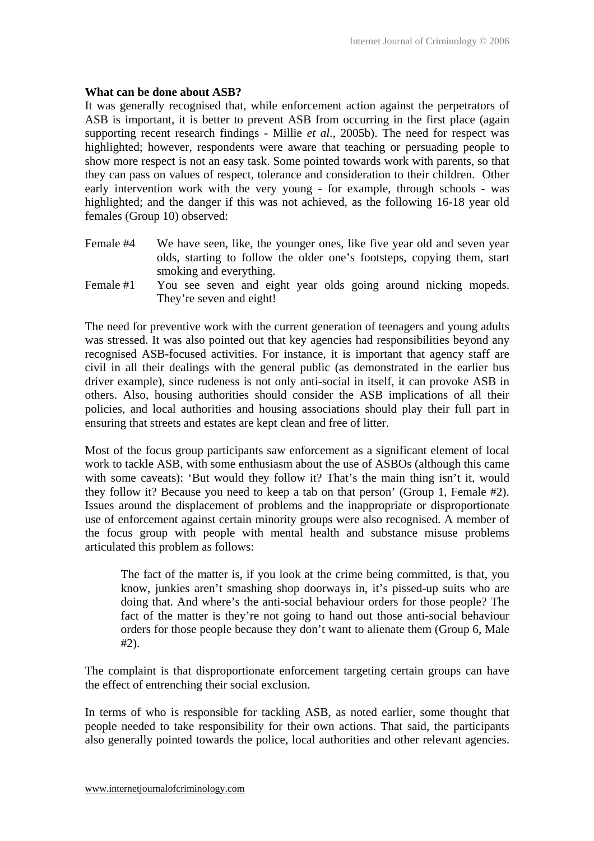#### **What can be done about ASB?**

It was generally recognised that, while enforcement action against the perpetrators of ASB is important, it is better to prevent ASB from occurring in the first place (again supporting recent research findings - Millie *et al*., 2005b). The need for respect was highlighted; however, respondents were aware that teaching or persuading people to show more respect is not an easy task. Some pointed towards work with parents, so that they can pass on values of respect, tolerance and consideration to their children. Other early intervention work with the very young - for example, through schools - was highlighted; and the danger if this was not achieved, as the following 16-18 year old females (Group 10) observed:

- Female #4 We have seen, like, the younger ones, like five year old and seven year olds, starting to follow the older one's footsteps, copying them, start smoking and everything.
- Female #1 You see seven and eight year olds going around nicking mopeds. They're seven and eight!

The need for preventive work with the current generation of teenagers and young adults was stressed. It was also pointed out that key agencies had responsibilities beyond any recognised ASB-focused activities. For instance, it is important that agency staff are civil in all their dealings with the general public (as demonstrated in the earlier bus driver example), since rudeness is not only anti-social in itself, it can provoke ASB in others. Also, housing authorities should consider the ASB implications of all their policies, and local authorities and housing associations should play their full part in ensuring that streets and estates are kept clean and free of litter.

Most of the focus group participants saw enforcement as a significant element of local work to tackle ASB, with some enthusiasm about the use of ASBOs (although this came with some caveats): 'But would they follow it? That's the main thing isn't it, would they follow it? Because you need to keep a tab on that person' (Group 1, Female #2). Issues around the displacement of problems and the inappropriate or disproportionate use of enforcement against certain minority groups were also recognised. A member of the focus group with people with mental health and substance misuse problems articulated this problem as follows:

The fact of the matter is, if you look at the crime being committed, is that, you know, junkies aren't smashing shop doorways in, it's pissed-up suits who are doing that. And where's the anti-social behaviour orders for those people? The fact of the matter is they're not going to hand out those anti-social behaviour orders for those people because they don't want to alienate them (Group 6, Male #2).

The complaint is that disproportionate enforcement targeting certain groups can have the effect of entrenching their social exclusion.

In terms of who is responsible for tackling ASB, as noted earlier, some thought that people needed to take responsibility for their own actions. That said, the participants also generally pointed towards the police, local authorities and other relevant agencies.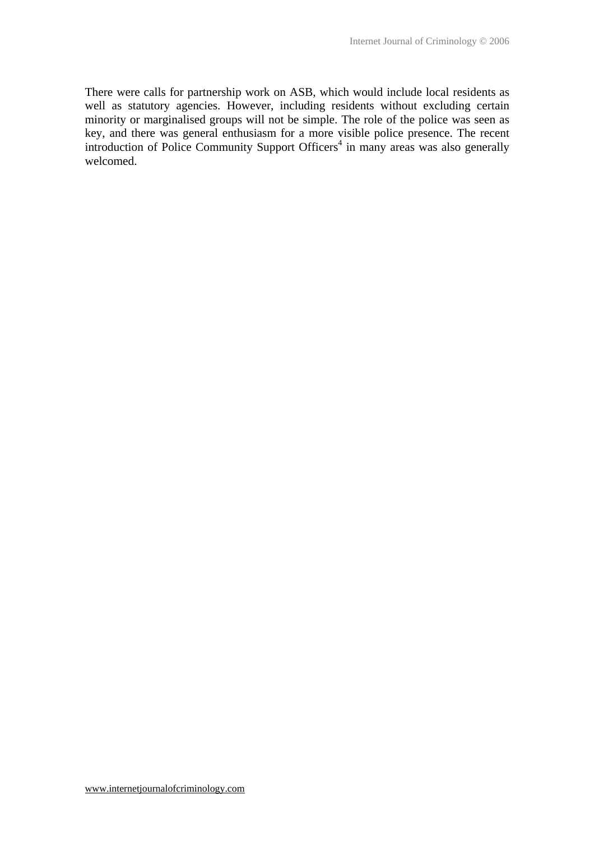There were calls for partnership work on ASB, which would include local residents as well as statutory agencies. However, including residents without excluding certain minority or marginalised groups will not be simple. The role of the police was seen as key, and there was general enthusiasm for a more visible police presence. The recent introduction of Police Community Support Officers<sup>4</sup> in many areas was also generally welcomed.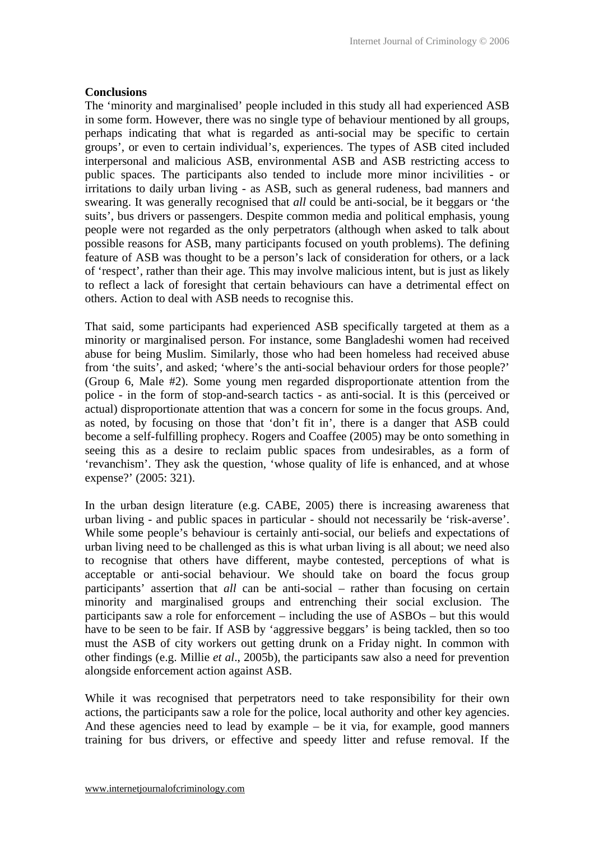#### **Conclusions**

The 'minority and marginalised' people included in this study all had experienced ASB in some form. However, there was no single type of behaviour mentioned by all groups, perhaps indicating that what is regarded as anti-social may be specific to certain groups', or even to certain individual's, experiences. The types of ASB cited included interpersonal and malicious ASB, environmental ASB and ASB restricting access to public spaces. The participants also tended to include more minor incivilities - or irritations to daily urban living - as ASB, such as general rudeness, bad manners and swearing. It was generally recognised that *all* could be anti-social, be it beggars or 'the suits', bus drivers or passengers. Despite common media and political emphasis, young people were not regarded as the only perpetrators (although when asked to talk about possible reasons for ASB, many participants focused on youth problems). The defining feature of ASB was thought to be a person's lack of consideration for others, or a lack of 'respect', rather than their age. This may involve malicious intent, but is just as likely to reflect a lack of foresight that certain behaviours can have a detrimental effect on others. Action to deal with ASB needs to recognise this.

That said, some participants had experienced ASB specifically targeted at them as a minority or marginalised person. For instance, some Bangladeshi women had received abuse for being Muslim. Similarly, those who had been homeless had received abuse from 'the suits', and asked; 'where's the anti-social behaviour orders for those people?' (Group 6, Male #2). Some young men regarded disproportionate attention from the police - in the form of stop-and-search tactics - as anti-social. It is this (perceived or actual) disproportionate attention that was a concern for some in the focus groups. And, as noted, by focusing on those that 'don't fit in', there is a danger that ASB could become a self-fulfilling prophecy. Rogers and Coaffee (2005) may be onto something in seeing this as a desire to reclaim public spaces from undesirables, as a form of 'revanchism'. They ask the question, 'whose quality of life is enhanced, and at whose expense?' (2005: 321).

In the urban design literature (e.g. CABE, 2005) there is increasing awareness that urban living - and public spaces in particular - should not necessarily be 'risk-averse'. While some people's behaviour is certainly anti-social, our beliefs and expectations of urban living need to be challenged as this is what urban living is all about; we need also to recognise that others have different, maybe contested, perceptions of what is acceptable or anti-social behaviour. We should take on board the focus group participants' assertion that *all* can be anti-social – rather than focusing on certain minority and marginalised groups and entrenching their social exclusion. The participants saw a role for enforcement – including the use of ASBOs – but this would have to be seen to be fair. If ASB by 'aggressive beggars' is being tackled, then so too must the ASB of city workers out getting drunk on a Friday night. In common with other findings (e.g. Millie *et al*., 2005b), the participants saw also a need for prevention alongside enforcement action against ASB.

While it was recognised that perpetrators need to take responsibility for their own actions, the participants saw a role for the police, local authority and other key agencies. And these agencies need to lead by example – be it via, for example, good manners training for bus drivers, or effective and speedy litter and refuse removal. If the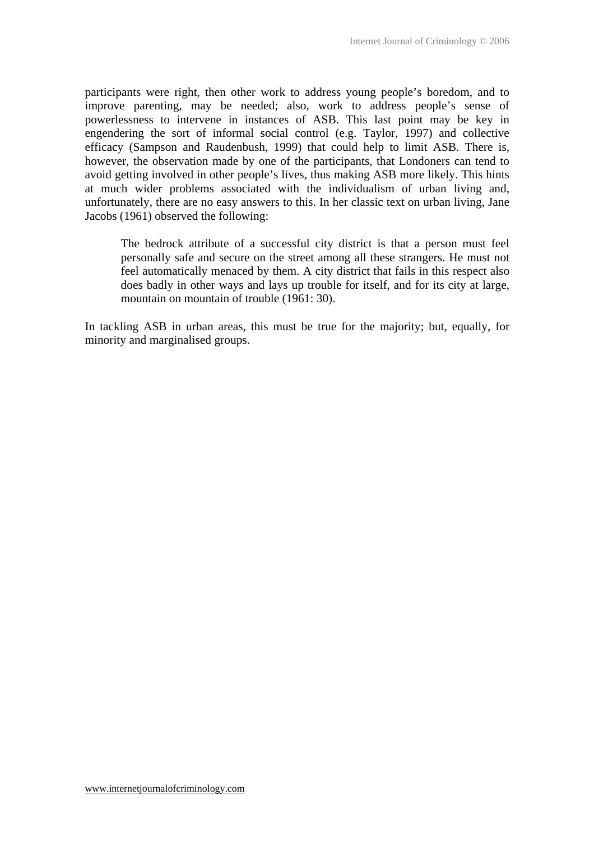participants were right, then other work to address young people's boredom, and to improve parenting, may be needed; also, work to address people's sense of powerlessness to intervene in instances of ASB. This last point may be key in engendering the sort of informal social control (e.g. Taylor, 1997) and collective efficacy (Sampson and Raudenbush, 1999) that could help to limit ASB. There is, however, the observation made by one of the participants, that Londoners can tend to avoid getting involved in other people's lives, thus making ASB more likely. This hints at much wider problems associated with the individualism of urban living and, unfortunately, there are no easy answers to this. In her classic text on urban living, Jane Jacobs (1961) observed the following:

The bedrock attribute of a successful city district is that a person must feel personally safe and secure on the street among all these strangers. He must not feel automatically menaced by them. A city district that fails in this respect also does badly in other ways and lays up trouble for itself, and for its city at large, mountain on mountain of trouble (1961: 30).

In tackling ASB in urban areas, this must be true for the majority; but, equally, for minority and marginalised groups.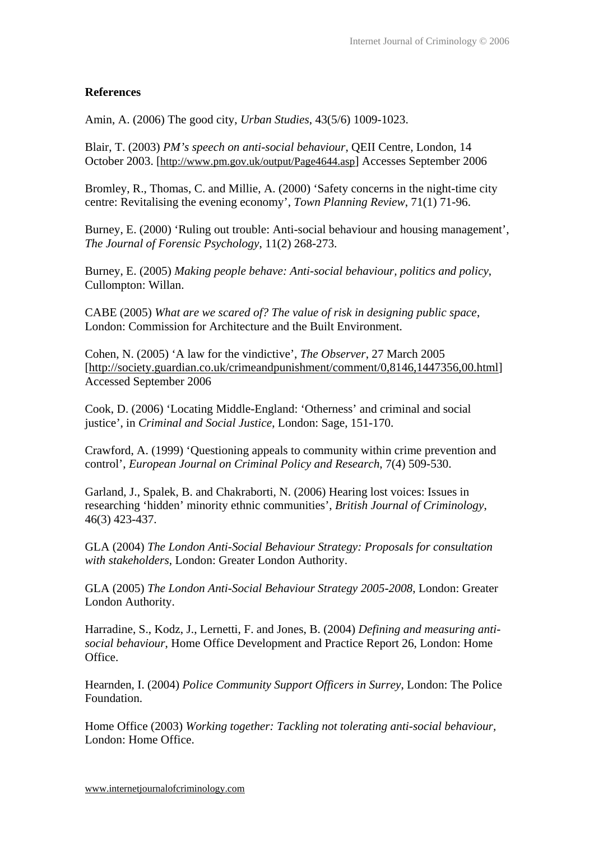# **References**

Amin, A. (2006) The good city, *Urban Studies*, 43(5/6) 1009-1023.

Blair, T. (2003) *PM's speech on anti-social behaviour*, QEII Centre, London, 14 October 2003. [http://www.pm.gov.uk/output/Page4644.asp] Accesses September 2006

Bromley, R., Thomas, C. and Millie, A. (2000) 'Safety concerns in the night-time city centre: Revitalising the evening economy', *Town Planning Review*, 71(1) 71-96.

Burney, E. (2000) 'Ruling out trouble: Anti-social behaviour and housing management', *The Journal of Forensic Psychology*, 11(2) 268-273.

Burney, E. (2005) *Making people behave: Anti-social behaviour, politics and policy*, Cullompton: Willan.

CABE (2005) *What are we scared of? The value of risk in designing public space*, London: Commission for Architecture and the Built Environment.

Cohen, N. (2005) 'A law for the vindictive', *The Observer*, 27 March 2005 [http://society.guardian.co.uk/crimeandpunishment/comment/0,8146,1447356,00.html] Accessed September 2006

Cook, D. (2006) 'Locating Middle-England: 'Otherness' and criminal and social justice', in *Criminal and Social Justice*, London: Sage, 151-170.

Crawford, A. (1999) 'Questioning appeals to community within crime prevention and control', *European Journal on Criminal Policy and Research*, 7(4) 509-530.

Garland, J., Spalek, B. and Chakraborti, N. (2006) Hearing lost voices: Issues in researching 'hidden' minority ethnic communities', *British Journal of Criminology*, 46(3) 423-437.

GLA (2004) *The London Anti-Social Behaviour Strategy: Proposals for consultation with stakeholders*, London: Greater London Authority.

GLA (2005) *The London Anti-Social Behaviour Strategy 2005-2008*, London: Greater London Authority.

Harradine, S., Kodz, J., Lernetti, F. and Jones, B. (2004) *Defining and measuring antisocial behaviour*, Home Office Development and Practice Report 26, London: Home Office.

Hearnden, I. (2004) *Police Community Support Officers in Surrey*, London: The Police Foundation.

Home Office (2003) *Working together: Tackling not tolerating anti-social behaviour,* London: Home Office.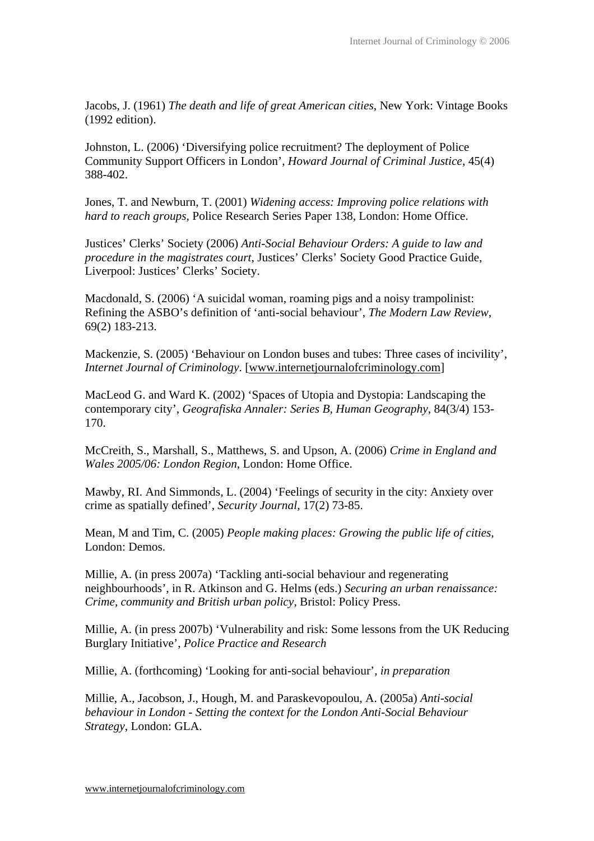Jacobs, J. (1961) *The death and life of great American cities*, New York: Vintage Books (1992 edition).

Johnston, L. (2006) 'Diversifying police recruitment? The deployment of Police Community Support Officers in London', *Howard Journal of Criminal Justice*, 45(4) 388-402.

Jones, T. and Newburn, T. (2001) *Widening access: Improving police relations with hard to reach groups*, Police Research Series Paper 138, London: Home Office.

Justices' Clerks' Society (2006) *Anti-Social Behaviour Orders: A guide to law and procedure in the magistrates court*, Justices' Clerks' Society Good Practice Guide, Liverpool: Justices' Clerks' Society.

Macdonald, S. (2006) 'A suicidal woman, roaming pigs and a noisy trampolinist: Refining the ASBO's definition of 'anti-social behaviour', *The Modern Law Review*, 69(2) 183-213.

Mackenzie, S. (2005) 'Behaviour on London buses and tubes: Three cases of incivility', *Internet Journal of Criminology*. [www.internetjournalofcriminology.com]

MacLeod G. and Ward K. (2002) 'Spaces of Utopia and Dystopia: Landscaping the contemporary city', *Geografiska Annaler: Series B, Human Geography*, 84(3/4) 153- 170.

McCreith, S., Marshall, S., Matthews, S. and Upson, A. (2006) *Crime in England and Wales 2005/06: London Region*, London: Home Office.

Mawby, RI. And Simmonds, L. (2004) 'Feelings of security in the city: Anxiety over crime as spatially defined', *Security Journal*, 17(2) 73-85.

Mean, M and Tim, C. (2005) *People making places: Growing the public life of cities*, London: Demos.

Millie, A. (in press 2007a) 'Tackling anti-social behaviour and regenerating neighbourhoods', in R. Atkinson and G. Helms (eds.) *Securing an urban renaissance: Crime, community and British urban policy*, Bristol: Policy Press.

Millie, A. (in press 2007b) 'Vulnerability and risk: Some lessons from the UK Reducing Burglary Initiative', *Police Practice and Research*

Millie, A. (forthcoming) 'Looking for anti-social behaviour', *in preparation*

Millie, A., Jacobson, J., Hough, M. and Paraskevopoulou, A. (2005a) *Anti-social behaviour in London - Setting the context for the London Anti-Social Behaviour Strategy*, London: GLA.